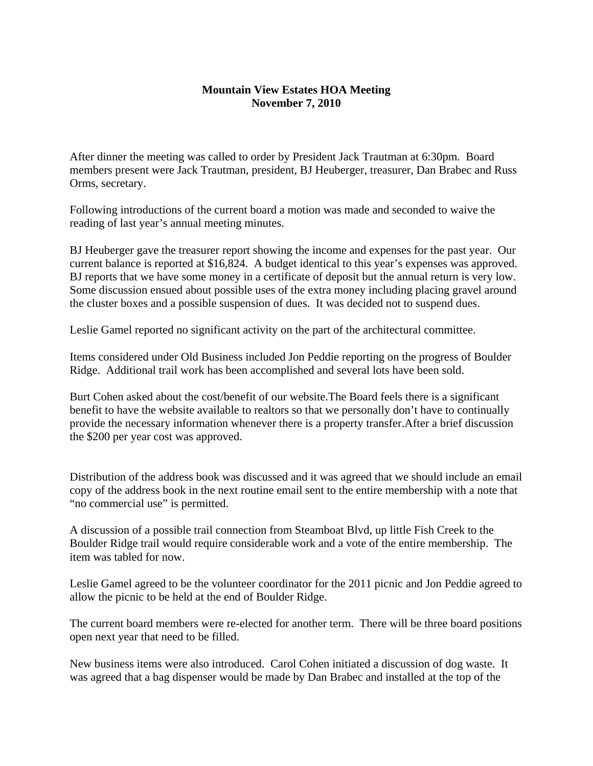## **Mountain View Estates HOA Meeting November 7, 2010**

After dinner the meeting was called to order by President Jack Trautman at 6:30pm. Board members present were Jack Trautman, president, BJ Heuberger, treasurer, Dan Brabec and Russ Orms, secretary.

Following introductions of the current board a motion was made and seconded to waive the reading of last year's annual meeting minutes.

BJ Heuberger gave the treasurer report showing the income and expenses for the past year. Our current balance is reported at \$16,824. A budget identical to this year's expenses was approved. BJ reports that we have some money in a certificate of deposit but the annual return is very low. Some discussion ensued about possible uses of the extra money including placing gravel around the cluster boxes and a possible suspension of dues. It was decided not to suspend dues.

Leslie Gamel reported no significant activity on the part of the architectural committee.

Items considered under Old Business included Jon Peddie reporting on the progress of Boulder Ridge. Additional trail work has been accomplished and several lots have been sold.

Burt Cohen asked about the cost/benefit of our website.The Board feels there is a significant benefit to have the website available to realtors so that we personally don't have to continually provide the necessary information whenever there is a property transfer.After a brief discussion the \$200 per year cost was approved.

Distribution of the address book was discussed and it was agreed that we should include an email copy of the address book in the next routine email sent to the entire membership with a note that "no commercial use" is permitted.

A discussion of a possible trail connection from Steamboat Blvd, up little Fish Creek to the Boulder Ridge trail would require considerable work and a vote of the entire membership. The item was tabled for now.

Leslie Gamel agreed to be the volunteer coordinator for the 2011 picnic and Jon Peddie agreed to allow the picnic to be held at the end of Boulder Ridge.

The current board members were re-elected for another term. There will be three board positions open next year that need to be filled.

New business items were also introduced. Carol Cohen initiated a discussion of dog waste. It was agreed that a bag dispenser would be made by Dan Brabec and installed at the top of the